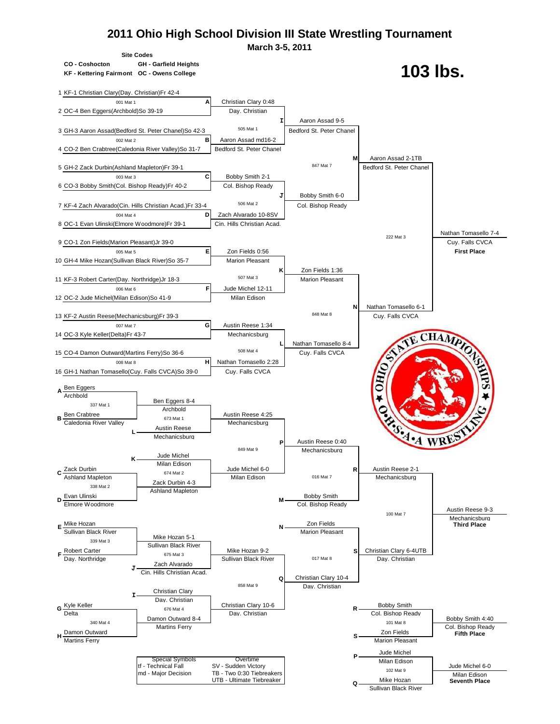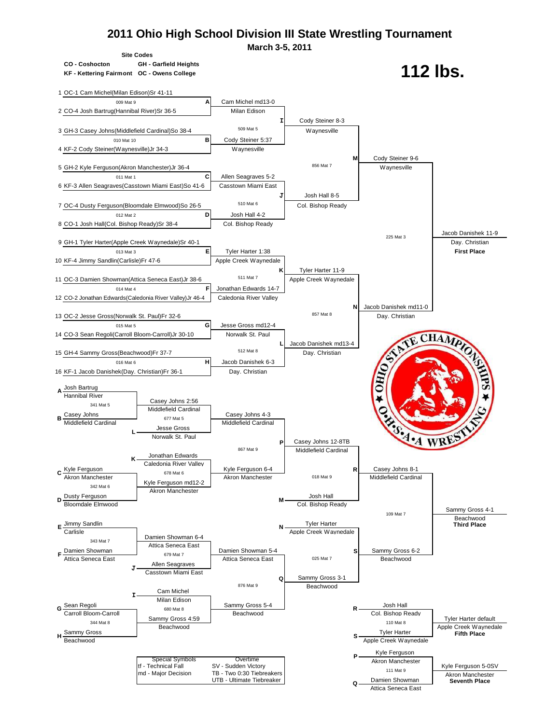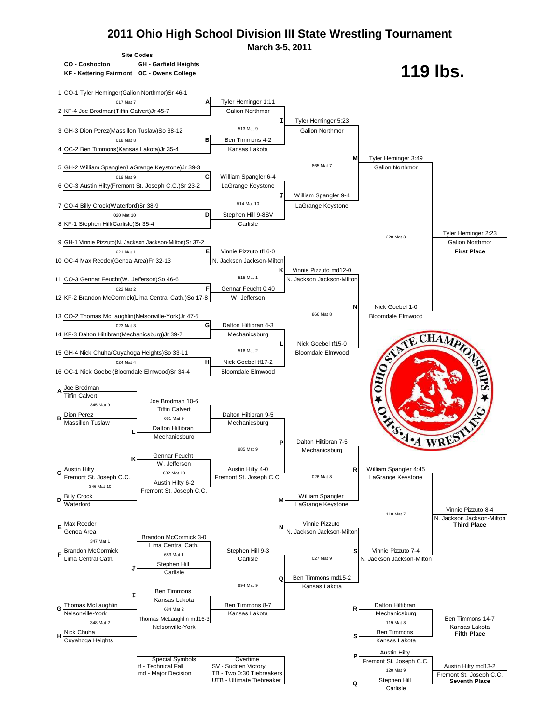

**Carlisle**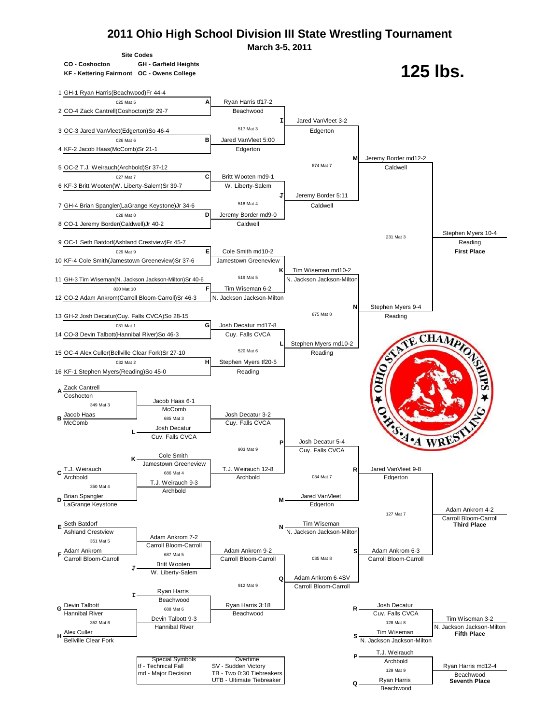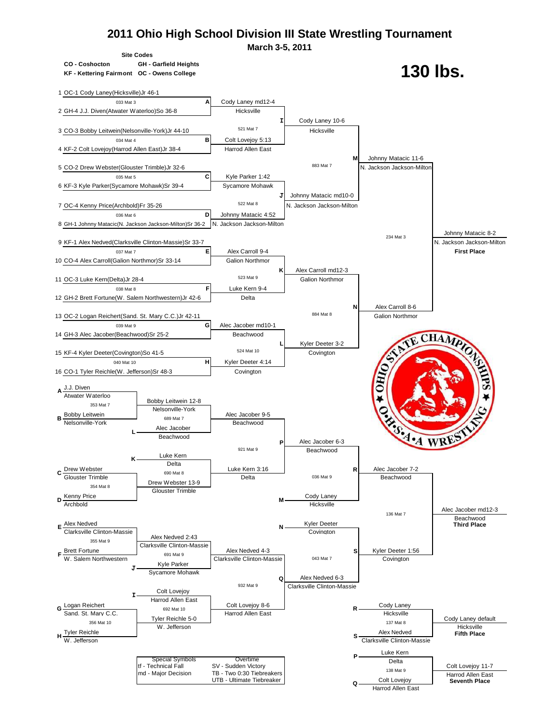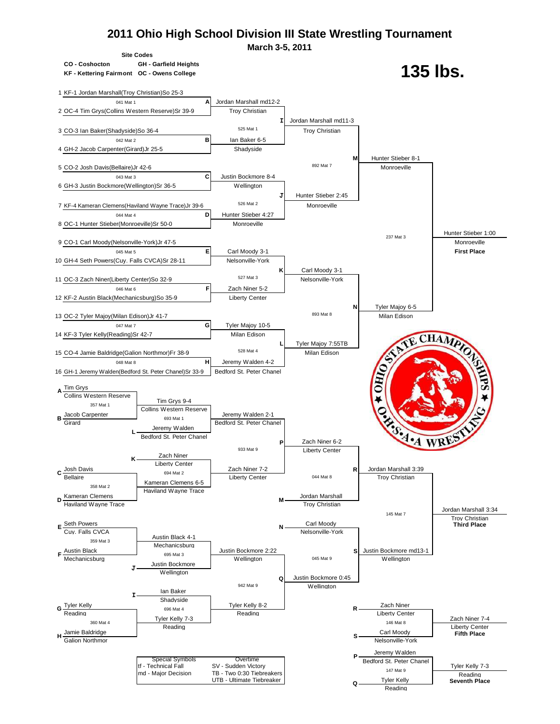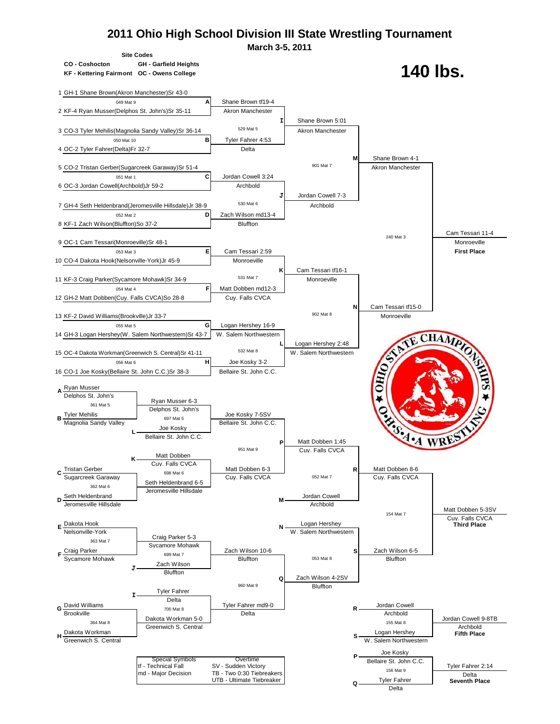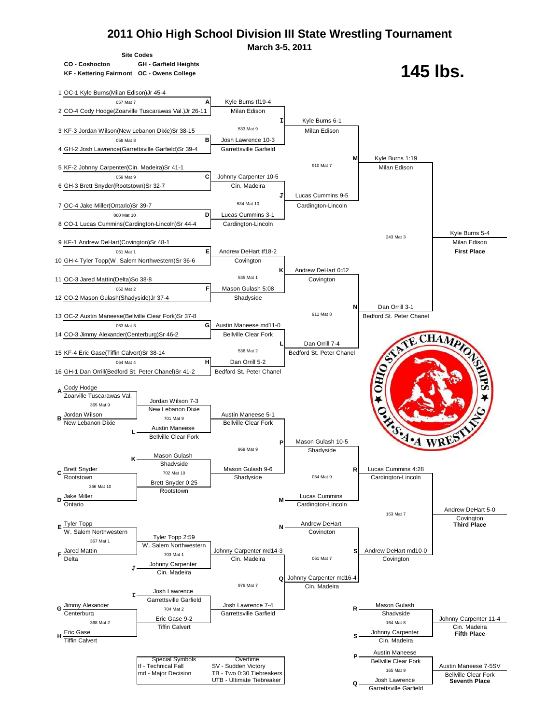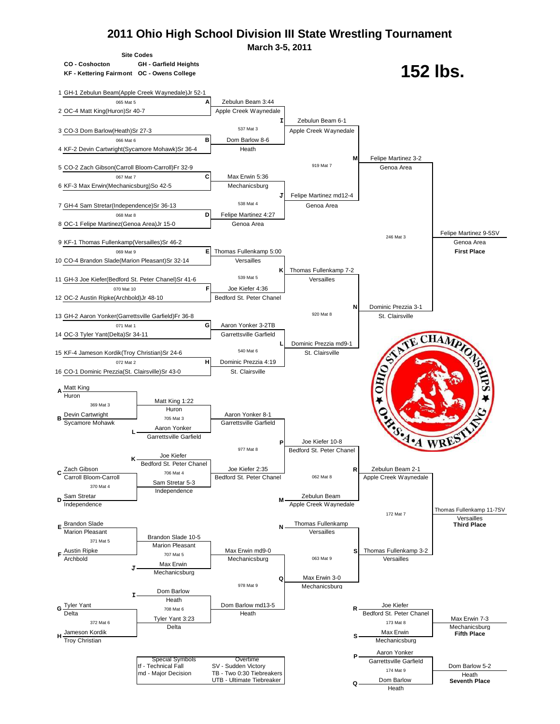**March 3-5, 2011**



**KF - Kettering Fairmont OC - Owens College**



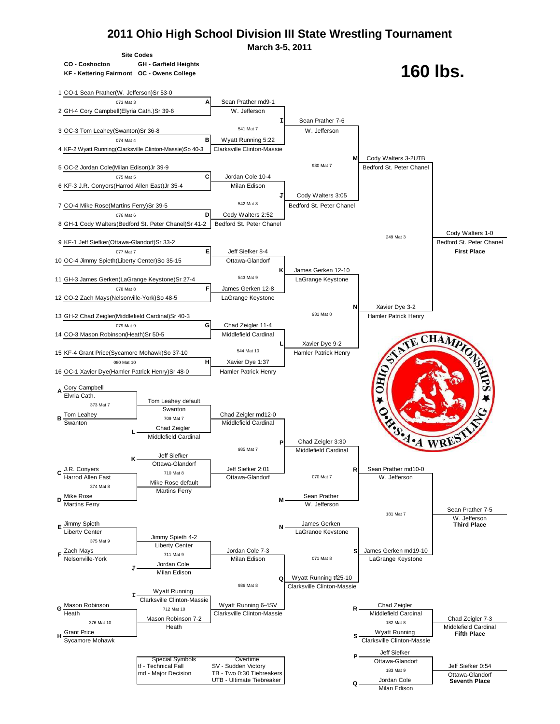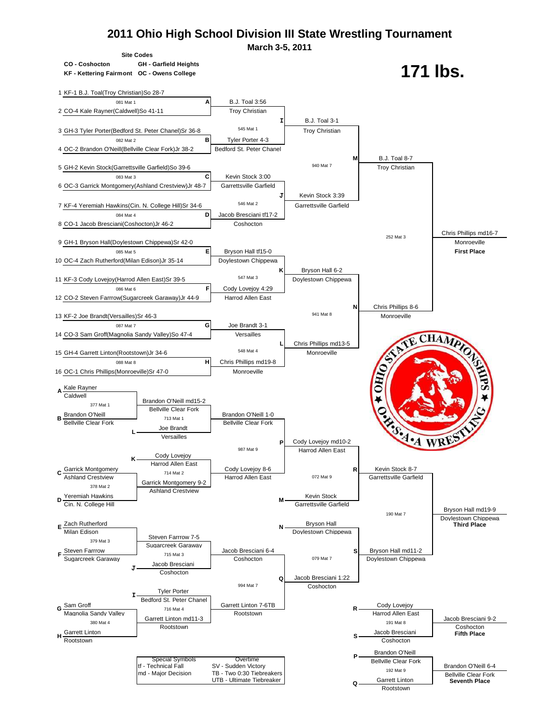

Rootstown Coshocton Communication Control of the Coshocton Coshocton Coshocton Coshocton Coshocton Coshocton Co **H S S S S** 

> Special Symbols Overtime **Department of Convention** Bellville Clear Fork for Technical Fall SV - Sudden Victory tf - Technical Fall SV - Sudden Victory<br>
> md - Major Decision TB - Two 0:30 Tiebreakers and the state of the state of the Brandon O'Neill 6-4<br>
> Bellville Clear Fork TB - Two 0:30 Tiebreakers<br>UTB - Ultimate Tiebreaker Bellville Clear Fork<br>
> Computed the Clear Fork Seventh Place UTB - Ultimate Tiebreaker Garrett Linton **Seventh Place**

Brandon O'Neill

**P**

**Q**

Rootstown

192 Mat 9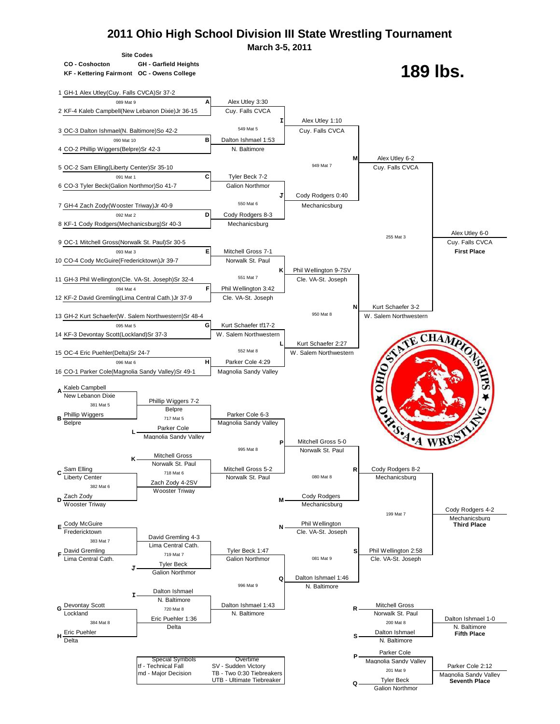

Galion Northmor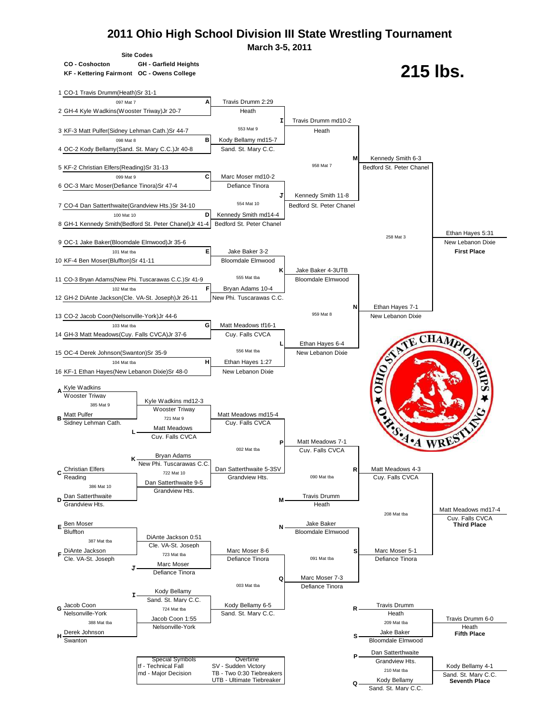